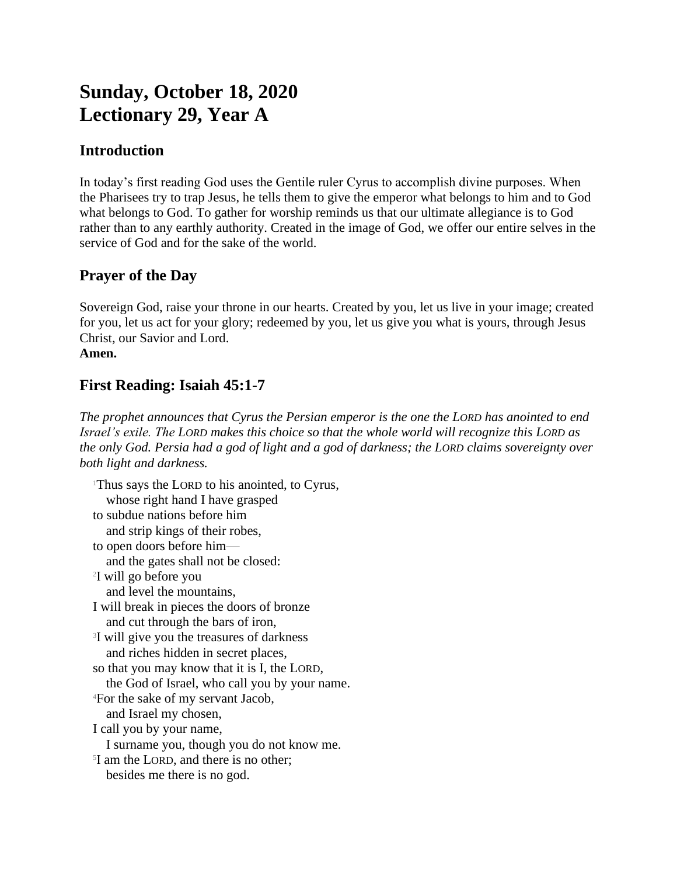# **Sunday, October 18, 2020 Lectionary 29, Year A**

## **Introduction**

In today's first reading God uses the Gentile ruler Cyrus to accomplish divine purposes. When the Pharisees try to trap Jesus, he tells them to give the emperor what belongs to him and to God what belongs to God. To gather for worship reminds us that our ultimate allegiance is to God rather than to any earthly authority. Created in the image of God, we offer our entire selves in the service of God and for the sake of the world.

## **Prayer of the Day**

Sovereign God, raise your throne in our hearts. Created by you, let us live in your image; created for you, let us act for your glory; redeemed by you, let us give you what is yours, through Jesus Christ, our Savior and Lord. **Amen.**

# **First Reading: Isaiah 45:1-7**

*The prophet announces that Cyrus the Persian emperor is the one the LORD has anointed to end Israel's exile. The LORD makes this choice so that the whole world will recognize this LORD as the only God. Persia had a god of light and a god of darkness; the LORD claims sovereignty over both light and darkness.*

<sup>1</sup>Thus says the LORD to his anointed, to Cyrus, whose right hand I have grasped to subdue nations before him and strip kings of their robes, to open doors before him and the gates shall not be closed: 2 I will go before you and level the mountains, I will break in pieces the doors of bronze and cut through the bars of iron, <sup>3</sup>I will give you the treasures of darkness and riches hidden in secret places, so that you may know that it is I, the LORD, the God of Israel, who call you by your name. <sup>4</sup>For the sake of my servant Jacob, and Israel my chosen, I call you by your name, I surname you, though you do not know me. 5 I am the LORD, and there is no other; besides me there is no god.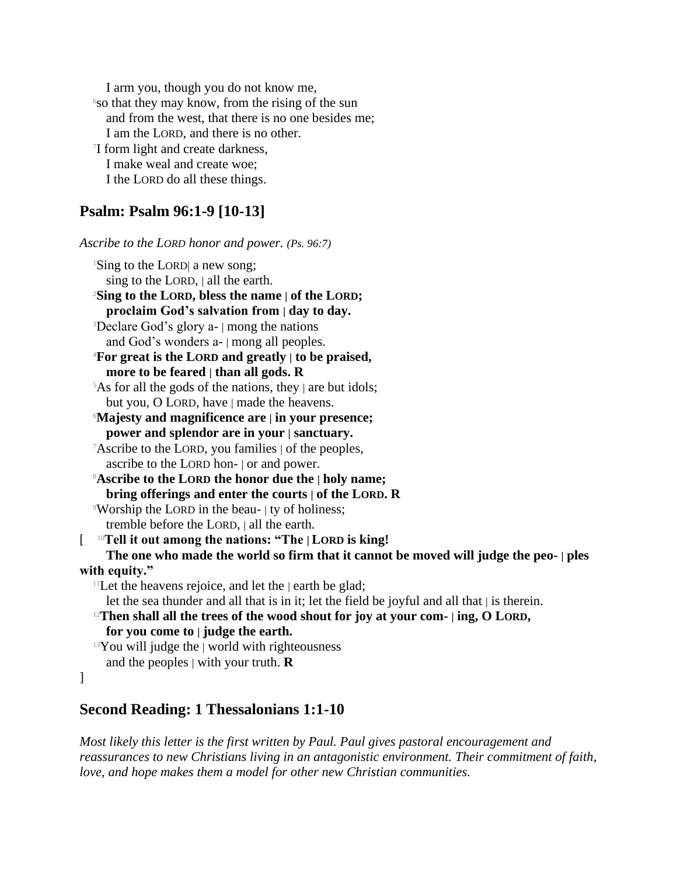I arm you, though you do not know me,  $\delta$ so that they may know, from the rising of the sun and from the west, that there is no one besides me; I am the LORD, and there is no other. 7 I form light and create darkness, I make weal and create woe; I the LORD do all these things.

## **Psalm: Psalm 96:1-9 [10-13]**

*Ascribe to the LORD honor and power. (Ps. 96:7)*

<sup>1</sup>Sing to the LORD| a new song; sing to the LORD, | all the earth. <sup>2</sup>**Sing to the LORD, bless the name | of the LORD; proclaim God's salvation from | day to day.** <sup>3</sup>Declare God's glory a- | mong the nations and God's wonders a- | mong all peoples. <sup>4</sup>**For great is the LORD and greatly | to be praised, more to be feared | than all gods. R**  $5$ As for all the gods of the nations, they | are but idols; but you, O LORD, have | made the heavens. <sup>6</sup>**Majesty and magnificence are | in your presence; power and splendor are in your | sanctuary.** <sup>7</sup>Ascribe to the LORD, you families | of the peoples, ascribe to the LORD hon- | or and power. <sup>8</sup>**Ascribe to the LORD the honor due the | holy name; bring offerings and enter the courts | of the LORD. R** <sup>9</sup>Worship the LORD in the beau- | ty of holiness; tremble before the LORD, | all the earth. [ <sup>10</sup>**Tell it out among the nations: "The | LORD is king! The one who made the world so firm that it cannot be moved will judge the peo- | ples with equity."** <sup>11</sup>Let the heavens rejoice, and let the  $|$  earth be glad; let the sea thunder and all that is in it; let the field be joyful and all that | is therein. <sup>12</sup>**Then shall all the trees of the wood shout for joy at your com- | ing, O LORD, for you come to | judge the earth.**  $13$ You will judge the | world with righteousness and the peoples | with your truth. **R**

#### ]

#### **Second Reading: 1 Thessalonians 1:1-10**

*Most likely this letter is the first written by Paul. Paul gives pastoral encouragement and reassurances to new Christians living in an antagonistic environment. Their commitment of faith, love, and hope makes them a model for other new Christian communities.*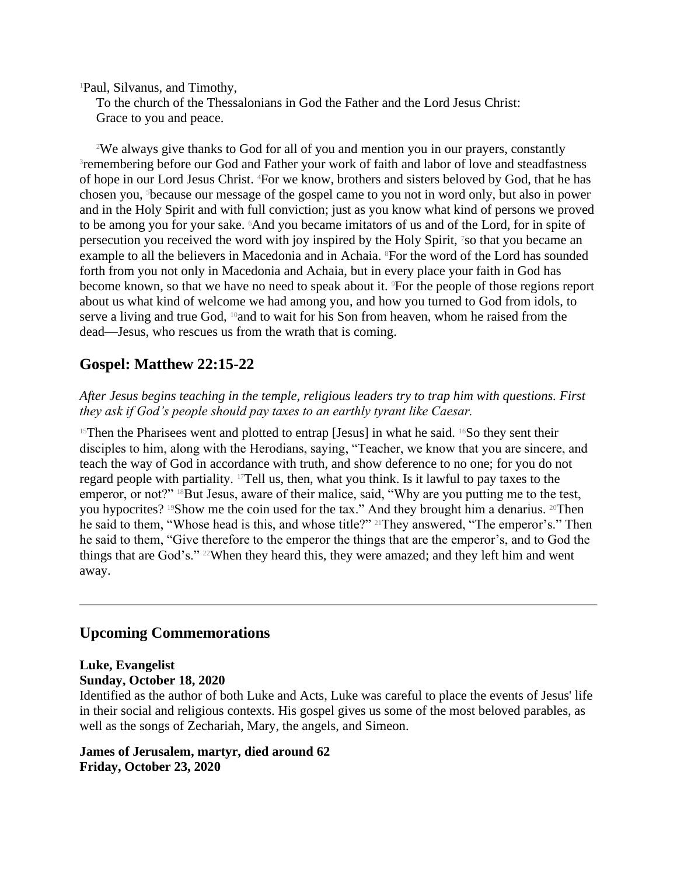<sup>1</sup>Paul, Silvanus, and Timothy,

To the church of the Thessalonians in God the Father and the Lord Jesus Christ: Grace to you and peace.

<sup>2</sup>We always give thanks to God for all of you and mention you in our prayers, constantly <sup>3</sup>remembering before our God and Father your work of faith and labor of love and steadfastness of hope in our Lord Jesus Christ. 4For we know, brothers and sisters beloved by God, that he has chosen you, 5because our message of the gospel came to you not in word only, but also in power and in the Holy Spirit and with full conviction; just as you know what kind of persons we proved to be among you for your sake. 6And you became imitators of us and of the Lord, for in spite of persecution you received the word with joy inspired by the Holy Spirit, <sup>7</sup>so that you became an example to all the believers in Macedonia and in Achaia. <sup>8</sup>For the word of the Lord has sounded forth from you not only in Macedonia and Achaia, but in every place your faith in God has become known, so that we have no need to speak about it. <sup>9</sup>For the people of those regions report about us what kind of welcome we had among you, and how you turned to God from idols, to serve a living and true God, <sup>10</sup>and to wait for his Son from heaven, whom he raised from the dead—Jesus, who rescues us from the wrath that is coming.

## **Gospel: Matthew 22:15-22**

*After Jesus begins teaching in the temple, religious leaders try to trap him with questions. First they ask if God's people should pay taxes to an earthly tyrant like Caesar.*

<sup>15</sup>Then the Pharisees went and plotted to entrap [Jesus] in what he said. <sup>16</sup>So they sent their disciples to him, along with the Herodians, saying, "Teacher, we know that you are sincere, and teach the way of God in accordance with truth, and show deference to no one; for you do not regard people with partiality. 17Tell us, then, what you think. Is it lawful to pay taxes to the emperor, or not?" 18But Jesus, aware of their malice, said, "Why are you putting me to the test, you hypocrites? <sup>19</sup>Show me the coin used for the tax." And they brought him a denarius. <sup>20</sup>Then he said to them, "Whose head is this, and whose title?" 21They answered, "The emperor's." Then he said to them, "Give therefore to the emperor the things that are the emperor's, and to God the things that are God's." <sup>22</sup>When they heard this, they were amazed; and they left him and went away.

### **Upcoming Commemorations**

#### **Luke, Evangelist Sunday, October 18, 2020**

Identified as the author of both Luke and Acts, Luke was careful to place the events of Jesus' life in their social and religious contexts. His gospel gives us some of the most beloved parables, as well as the songs of Zechariah, Mary, the angels, and Simeon.

#### **James of Jerusalem, martyr, died around 62 Friday, October 23, 2020**